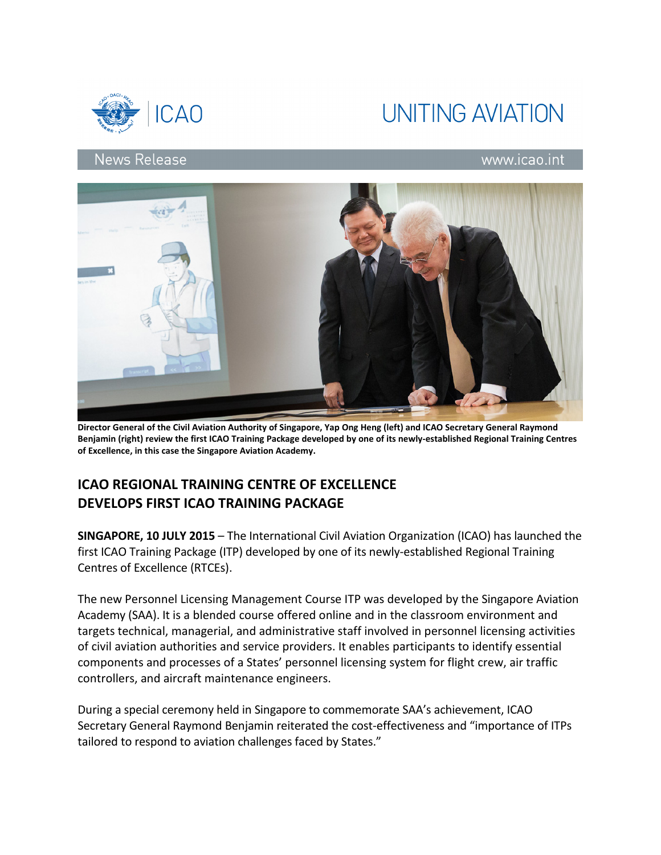



## **News Release**

## www.icao.int



Director General of the Civil Aviation Authority of Singapore, Yap Ong Heng (left) and ICAO Secretary General Raymond Benjamin (right) review the first ICAO Training Package developed by one of its newly-established Regional Training Centres of Excellence, in this case the Singapore Aviation Academy.

## ICAO REGIONAL TRAINING CENTRE OF EXCELLENCE DEVELOPS FIRST ICAO TRAINING PACKAGE

SINGAPORE, 10 JULY 2015 – The International Civil Aviation Organization (ICAO) has launched the first ICAO Training Package (ITP) developed by one of its newly-established Regional Training Centres of Excellence (RTCEs).

The new Personnel Licensing Management Course ITP was developed by the Singapore Aviation Academy (SAA). It is a blended course offered online and in the classroom environment and targets technical, managerial, and administrative staff involved in personnel licensing activities of civil aviation authorities and service providers. It enables participants to identify essential components and processes of a States' personnel licensing system for flight crew, air traffic controllers, and aircraft maintenance engineers.

During a special ceremony held in Singapore to commemorate SAA's achievement, ICAO Secretary General Raymond Benjamin reiterated the cost-effectiveness and "importance of ITPs tailored to respond to aviation challenges faced by States."